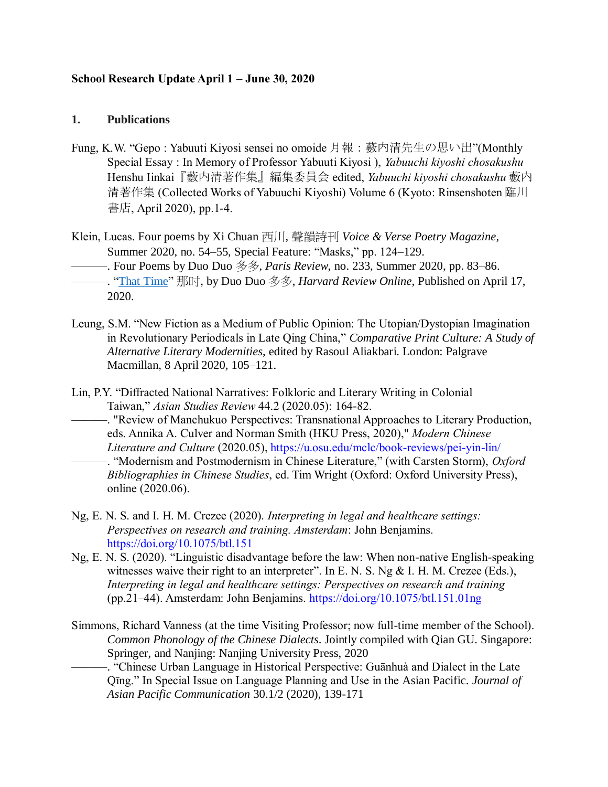### **School Research Update April 1 – June 30, 2020**

### **1. Publications**

- Fung, K.W. "Gepo : Yabuuti Kiyosi sensei no omoide 月報:藪内清先生の思い出"(Monthly Special Essay : In Memory of Professor Yabuuti Kiyosi ), *Yabuuchi kiyoshi chosakushu*  Henshu Iinkai『藪内清著作集』編集委員会 edited, *Yabuuchi kiyoshi chosakushu* 藪内 清著作集 (Collected Works of Yabuuchi Kiyoshi) Volume 6 (Kyoto: Rinsenshoten 臨川 書店, April 2020), pp.1-4.
- Klein, Lucas. Four poems by Xi Chuan 西川, 聲韻詩刊 *Voice & Verse Poetry Magazine*, Summer 2020, no. 54–55, Special Feature: "Masks," pp. 124–129.
- ––––––. Four Poems by Duo Duo 多多, *Paris Review*, no. 233, Summer 2020, pp. 83–86.
- ––––––. ["That Time"](https://www.harvardreview.org/content/desire-of-the-rose-desire-of-swords-poetry-by-duo-duo/) 那时, by Duo Duo 多多, *Harvard Review Online*, Published on April 17, 2020.
- Leung, S.M. "New Fiction as a Medium of Public Opinion: The Utopian/Dystopian Imagination in Revolutionary Periodicals in Late Qing China," *Comparative Print Culture: A Study of Alternative Literary Modernities*, edited by Rasoul Aliakbari. London: Palgrave Macmillan, 8 April 2020, 105–121.
- Lin, P.Y. "Diffracted National Narratives: Folkloric and Literary Writing in Colonial Taiwan," *Asian Studies Review* 44.2 (2020.05): 164-82.
	- -. "Review of Manchukuo Perspectives: Transnational Approaches to Literary Production, eds. Annika A. Culver and Norman Smith (HKU Press, 2020)," *Modern Chinese Literature and Culture* (2020.05), <https://u.osu.edu/mclc/book-reviews/pei-yin-lin/>
	- ––––––. "Modernism and Postmodernism in Chinese Literature," (with Carsten Storm), *Oxford Bibliographies in Chinese Studies*, ed. Tim Wright (Oxford: Oxford University Press), online (2020.06).
- Ng, E. N. S. and I. H. M. Crezee (2020). *Interpreting in legal and healthcare settings: Perspectives on research and training. Amsterdam*: John Benjamins. <https://doi.org/10.1075/btl.151>
- Ng, E. N. S. (2020). "Linguistic disadvantage before the law: When non-native English-speaking witnesses waive their right to an interpreter". In E. N. S. Ng & I. H. M. Crezee (Eds.), *Interpreting in legal and healthcare settings: Perspectives on research and training* (pp.21–44). Amsterdam: John Benjamins.<https://doi.org/10.1075/btl.151.01ng>
- Simmons, Richard Vanness (at the time Visiting Professor; now full-time member of the School). *Common Phonology of the Chinese Dialects*. Jointly compiled with Qian GU. Singapore: Springer, and Nanjing: Nanjing University Press, 2020

–. "Chinese Urban Language in Historical Perspective: Guānhuà and Dialect in the Late Qīng." In Special Issue on Language Planning and Use in the Asian Pacific. *Journal of Asian Pacific Communication* 30.1/2 (2020), 139-171